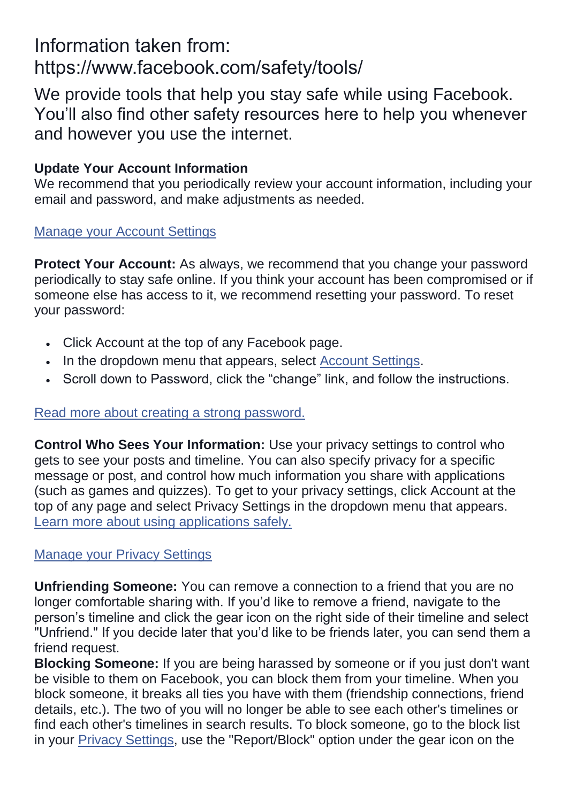# Information taken from: https://www.facebook.com/safety/tools/

We provide tools that help you stay safe while using Facebook. You'll also find other safety resources here to help you whenever and however you use the internet.

## **Update Your Account Information**

We recommend that you periodically review your account information, including your email and password, and make adjustments as needed.

#### [Manage your Account Settings](https://www.facebook.com/settings/)

**Protect Your Account:** As always, we recommend that you change your password periodically to stay safe online. If you think your account has been compromised or if someone else has access to it, we recommend resetting your password. To reset your password:

- Click Account at the top of any Facebook page.
- . In the dropdown menu that appears, select **Account Settings**.
- Scroll down to Password, click the "change" link, and follow the instructions.

#### [Read more about creating a strong password.](https://www.facebook.com/help/?faq=12265)

**Control Who Sees Your Information:** Use your privacy settings to control who gets to see your posts and timeline. You can also specify privacy for a specific message or post, and control how much information you share with applications (such as games and quizzes). To get to your privacy settings, click Account at the top of any page and select Privacy Settings in the dropdown menu that appears. [Learn more about using applications safely.](https://www.facebook.com/safety/tools/apps/)

### [Manage your Privacy Settings](https://www.facebook.com/settings/?tab=privacy&ref=mb)

**Unfriending Someone:** You can remove a connection to a friend that you are no longer comfortable sharing with. If you'd like to remove a friend, navigate to the person's timeline and click the gear icon on the right side of their timeline and select "Unfriend." If you decide later that you'd like to be friends later, you can send them a friend request.

**Blocking Someone:** If you are being harassed by someone or if you just don't want be visible to them on Facebook, you can block them from your timeline. When you block someone, it breaks all ties you have with them (friendship connections, friend details, etc.). The two of you will no longer be able to see each other's timelines or find each other's timelines in search results. To block someone, go to the block list in your [Privacy Settings,](https://www.facebook.com/settings/?tab=privacy&ref=mb) use the "Report/Block" option under the gear icon on the